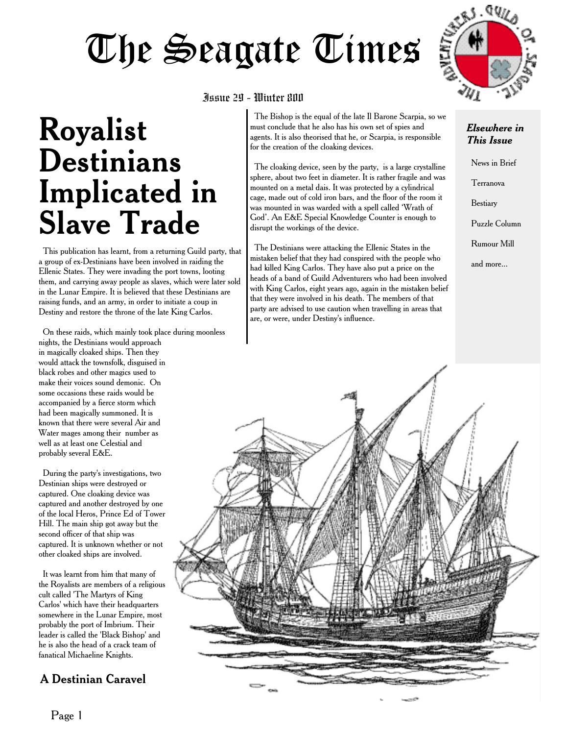## **Royalist Destinians Implicated in Slave Trade**

This publication has learnt, from a returning Guild party, that a group of ex-Destinians have been involved in raiding the Ellenic States. They were invading the port towns, looting them, and carrying away people as slaves, which were later sold in the Lunar Empire. It is believed that these Destinians are raising funds, and an army, in order to initiate a coup in Destiny and restore the throne of the late King Carlos.

On these raids, which mainly took place during moonless nights, the Destinians would approach in magically cloaked ships. Then they would attack the townsfolk, disguised in black robes and other magics used to make their voices sound demonic. On some occasions these raids would be accompanied by a fierce storm which had been magically summoned. It is known that there were several Air and Water mages among their number as well as at least one Celestial and probably several E&E.

During the party's investigations, two Destinian ships were destroyed or captured. One cloaking device was captured and another destroyed by one of the local Heros, Prince Ed of Tower Hill. The main ship got away but the second officer of that ship was captured. It is unknown whether or not other cloaked ships are involved.

It was learnt from him that many of the Royalists are members of a religious cult called 'The Martyrs of King Carlos' which have their headquarters somewhere in the Lunar Empire, most probably the port of Imbrium. Their leader is called the 'Black Bishop' and he is also the head of a crack team of fanatical Michaeline Knights.

#### A Destinian Caravel

Issue 29 - Winter 800



#### *Elsewhere in This Issue*

News in Brief

Terranova

Bestiary

Puzzle Column

Rumour Mill

and more...



The Bishop is the equal of the late Il Barone Scarpia, so we must conclude that he also has his own set of spies and agents. It is also theorised that he, or Scarpia, is responsible

The cloaking device, seen by the party, is a large crystalline sphere, about two feet in diameter. It is rather fragile and was mounted on a metal dais. It was protected by a cylindrical cage, made out of cold iron bars, and the floor of the room it was mounted in was warded with a spell called 'Wrath of God'. An E&E Special Knowledge Counter is enough to

The Destinians were attacking the Ellenic States in the mistaken belief that they had conspired with the people who had killed King Carlos. They have also put a price on the heads of a band of Guild Adventurers who had been involved with King Carlos, eight years ago, again in the mistaken belief that they were involved in his death. The members of that party are advised to use caution when travelling in areas that

for the creation of the cloaking devices.

disrupt the workings of the device.

are, or were, under Destiny's influence.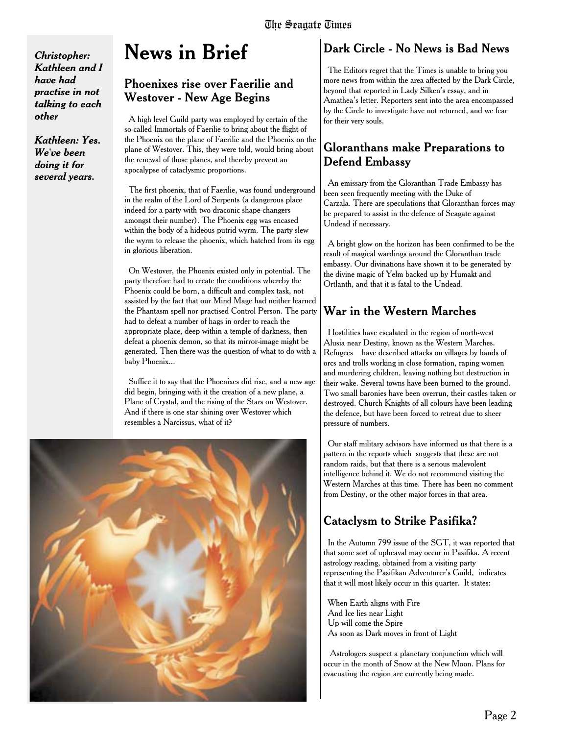*Christopher: Kathleen and I have had practise in not talking to each other*

*Kathleen: Yes. We've been doing it for several years.*

## **News in Brief**

#### Phoenixes rise over Faerilie and Westover - New Age Begins

A high level Guild party was employed by certain of the so-called Immortals of Faerilie to bring about the flight of the Phoenix on the plane of Faerilie and the Phoenix on the plane of Westover. This, they were told, would bring about the renewal of those planes, and thereby prevent an apocalypse of cataclysmic proportions.

The first phoenix, that of Faerilie, was found underground in the realm of the Lord of Serpents (a dangerous place indeed for a party with two draconic shape-changers amongst their number). The Phoenix egg was encased within the body of a hideous putrid wyrm. The party slew the wyrm to release the phoenix, which hatched from its egg in glorious liberation.

On Westover, the Phoenix existed only in potential. The party therefore had to create the conditions whereby the Phoenix could be born, a difficult and complex task, not assisted by the fact that our Mind Mage had neither learned the Phantasm spell nor practised Control Person. The party had to defeat a number of hags in order to reach the appropriate place, deep within a temple of darkness, then defeat a phoenix demon, so that its mirror-image might be generated. Then there was the question of what to do with a baby Phoenix...

Suffice it to say that the Phoenixes did rise, and a new age did begin, bringing with it the creation of a new plane, a Plane of Crystal, and the rising of the Stars on Westover. And if there is one star shining over Westover which resembles a Narcissus, what of it?



#### Dark Circle - No News is Bad News

The Editors regret that the Times is unable to bring you more news from within the area affected by the Dark Circle, beyond that reported in Lady Silken's essay, and in Amathea's letter. Reporters sent into the area encompassed by the Circle to investigate have not returned, and we fear for their very souls.

#### Gloranthans make Preparations to Defend Embassy

An emissary from the Gloranthan Trade Embassy has been seen frequently meeting with the Duke of Carzala. There are speculations that Gloranthan forces may be prepared to assist in the defence of Seagate against Undead if necessary.

A bright glow on the horizon has been confirmed to be the result of magical wardings around the Gloranthan trade embassy. Our divinations have shown it to be generated by the divine magic of Yelm backed up by Humakt and Ortlanth, and that it is fatal to the Undead.

#### War in the Western Marches

Hostilities have escalated in the region of north-west Alusia near Destiny, known as the Western Marches. Refugees have described attacks on villages by bands of orcs and trolls working in close formation, raping women and murdering children, leaving nothing but destruction in their wake. Several towns have been burned to the ground. Two small baronies have been overrun, their castles taken or destroyed. Church Knights of all colours have been leading the defence, but have been forced to retreat due to sheer pressure of numbers.

Our staff military advisors have informed us that there is a pattern in the reports which suggests that these are not random raids, but that there is a serious malevolent intelligence behind it. We do not recommend visiting the Western Marches at this time. There has been no comment from Destiny, or the other major forces in that area.

#### Cataclysm to Strike Pasifika?

In the Autumn 799 issue of the SGT, it was reported that that some sort of upheaval may occur in Pasifika. A recent astrology reading, obtained from a visiting party representing the Pasifikan Adventurer's Guild, indicates that it will most likely occur in this quarter. It states:

When Earth aligns with Fire And Ice lies near Light Up will come the Spire As soon as Dark moves in front of Light

Astrologers suspect a planetary conjunction which will occur in the month of Snow at the New Moon. Plans for evacuating the region are currently being made.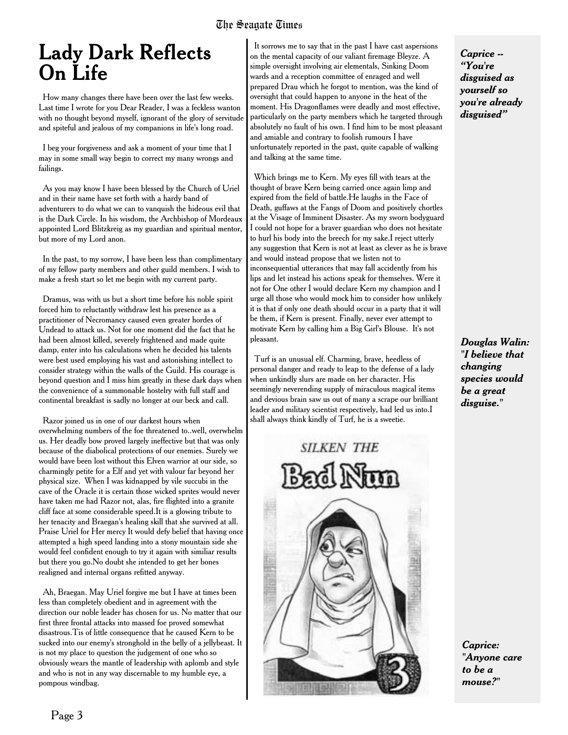## **Lady Dark Reflects On Life**

How many changes there have been over the last few weeks. Last time I wrote for you Dear Reader, I was a feckless wanton with no thought beyond myself, ignorant of the glory of servitude and spiteful and jealous of my companions in life's long road.

I beg your forgiveness and ask a moment of your time that I may in some small way begin to correct my many wrongs and failings.

As you may know I have been blessed by the Church of Uriel and in their name have set forth with a hardy band of adventurers to do what we can to vanquish the hideous evil that is the Dark Circle. In his wisdom, the Archbishop of Mordeaux appointed Lord Blitzkreig as my guardian and spiritual mentor, but more of my Lord anon.

In the past, to my sorrow, I have been less than complimentary of my fellow party members and other guild members. I wish to make a fresh start so let me begin with my current party.

Dramus, was with us but a short time before his noble spirit forced him to reluctantly withdraw lest his presence as a practitioner of Necromancy caused even greater hordes of Undead to attack us. Not for one moment did the fact that he had been almost killed, severely frightened and made quite damp, enter into his calculations when he decided his talents were best used employing his vast and astonishing intellect to consider strategy within the walls of the Guild. His courage is beyond question and I miss him greatly in these dark days when the convenience of a summonable hostelry with full staff and continental breakfast is sadly no longer at our beck and call.

Razor joined us in one of our darkest hours when overwhelming numbers of the foe threatened to..well, overwhelm us. Her deadly bow proved largely ineffective but that was only because of the diabolical protections of our enemies. Surely we would have been lost without this Elven warrior at our side, so charmingly petite for a Elf and yet with valour far beyond her physical size. When I was kidnapped by vile succubi in the cave of the Oracle it is certain those wicked sprites would never have taken me had Razor not, alas, fire flighted into a granite cliff face at some considerable speed.It is a glowing tribute to her tenacity and Braegan's healing skill that she survived at all. Praise Uriel for Her mercy It would defy belief that having once attempted a high speed landing into a stony mountain side she would feel confident enough to try it again with similiar results but there you go.No doubt she intended to get her bones realigned and internal organs refitted anyway.

Ah, Braegan. May Uriel forgive me but I have at times been less than completely obedient and in agreement with the direction our noble leader has chosen for us. No matter that our first three frontal attacks into massed foe proved somewhat disastrous.Tis of little consequence that he caused Kern to be sucked into our enemy's stronghold in the belly of a jellybeast. It is not my place to question the judgement of one who so obviously wears the mantle of leadership with aplomb and style and who is not in any way discernable to my humble eye, a pompous windbag.

It sorrows me to say that in the past I have cast aspersions on the mental capacity of our valiant firemage Bleyze. A simple oversight involving air elementals, Sinking Doom wards and a reception committee of enraged and well prepared Drau which he forgot to mention, was the kind of oversight that could happen to anyone in the heat of the moment. His Dragonflames were deadly and most effective, particularly on the party members which he targeted through absolutely no fault of his own. I find him to be most pleasant and amiable and contrary to foolish rumours I have unfortunately reported in the past, quite capable of walking and talking at the same time.

Which brings me to Kern. My eyes fill with tears at the thought of brave Kern being carried once again limp and expired from the field of battle.He laughs in the Face of Death, guffaws at the Fangs of Doom and positively chortles at the Visage of Imminent Disaster. As my sworn bodyguard I could not hope for a braver guardian who does not hesitate to hurl his body into the breech for my sake.I reject utterly any suggestion that Kern is not at least as clever as he is brave and would instead propose that we listen not to inconsequential utterances that may fall accidently from his lips and let instead his actions speak for themselves. Were it not for One other I would declare Kern my champion and I urge all those who would mock him to consider how unlikely it is that if only one death should occur in a party that it will be them, if Kern is present. Finally, never ever attempt to motivate Kern by calling him a Big Girl's Blouse. It's not pleasant.

Turf is an unusual elf. Charming, brave, heedless of personal danger and ready to leap to the defense of a lady when unkindly slurs are made on her character. His seemingly neverending supply of miraculous magical items and devious brain saw us out of many a scrape our brilliant leader and military scientist respectively, had led us into.I shall always think kindly of Turf, he is a sweetie.



*Caprice -- "You're disguised as yourself so you're already disguised"*

*Douglas Walin: "I believe that changing species would be a great disguise."*

*Caprice: "Anyone care to be a mouse?"*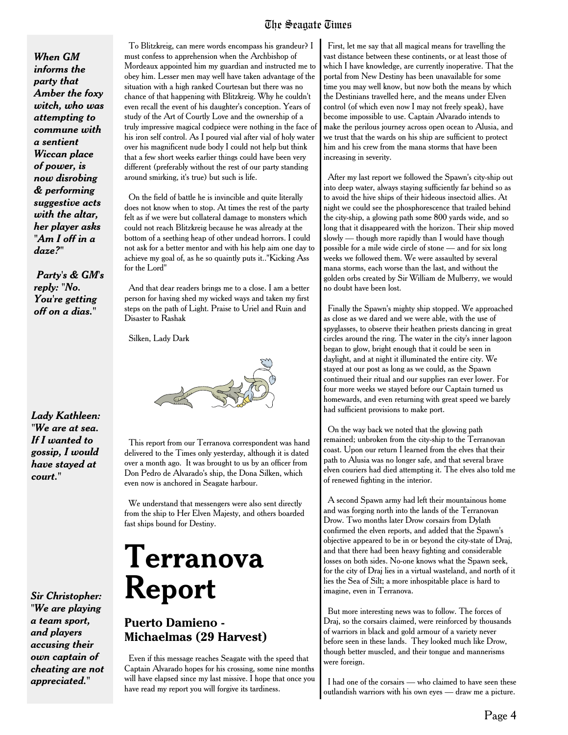*When GM informs the party that Amber the foxy witch, who was attempting to commune with a sentient Wiccan place of power, is now disrobing & performing suggestive acts with the altar, her player asks "Am I off in a daze?"*

*Party's & GM's reply: "No. You're getting off on a dias."*

To Blitzkreig, can mere words encompass his grandeur? I must confess to apprehension when the Archbishop of Mordeaux appointed him my guardian and instructed me to obey him. Lesser men may well have taken advantage of the situation with a high ranked Courtesan but there was no chance of that happening with Blitzkreig. Why he couldn't even recall the event of his daughter's conception. Years of study of the Art of Courtly Love and the ownership of a truly impressive magical codpiece were nothing in the face of his iron self control. As I poured vial after vial of holy water over his magnificent nude body I could not help but think that a few short weeks earlier things could have been very different (preferably without the rest of our party standing around smirking, it's true) but such is life.

On the field of battle he is invincible and quite literally does not know when to stop. At times the rest of the party felt as if we were but collateral damage to monsters which could not reach Blitzkreig because he was already at the bottom of a seething heap of other undead horrors. I could not ask for a better mentor and with his help aim one day to achieve my goal of, as he so quaintly puts it.."Kicking Ass for the Lord"

And that dear readers brings me to a close. I am a better person for having shed my wicked ways and taken my first steps on the path of Light. Praise to Uriel and Ruin and Disaster to Rashak

Silken, Lady Dark



This report from our Terranova correspondent was hand delivered to the Times only yesterday, although it is dated over a month ago. It was brought to us by an officer from Don Pedro de Alvarado's ship, the Dona Silken, which even now is anchored in Seagate harbour.

We understand that messengers were also sent directly from the ship to Her Elven Majesty, and others boarded fast ships bound for Destiny.

## **Terranova Report**

#### **Puerto Damieno - Michaelmas (29 Harvest)**

Even if this message reaches Seagate with the speed that Captain Alvarado hopes for his crossing, some nine months will have elapsed since my last missive. I hope that once you have read my report you will forgive its tardiness.

First, let me say that all magical means for travelling the vast distance between these continents, or at least those of which I have knowledge, are currently inoperative. That the portal from New Destiny has been unavailable for some time you may well know, but now both the means by which the Destinians travelled here, and the means under Elven control (of which even now I may not freely speak), have become impossible to use. Captain Alvarado intends to make the perilous journey across open ocean to Alusia, and we trust that the wards on his ship are sufficient to protect him and his crew from the mana storms that have been increasing in severity.

After my last report we followed the Spawn's city-ship out into deep water, always staying sufficiently far behind so as to avoid the hive ships of their hideous insectoid allies. At night we could see the phosphorescence that trailed behind the city-ship, a glowing path some 800 yards wide, and so long that it disappeared with the horizon. Their ship moved slowly — though more rapidly than I would have though possible for a mile wide circle of stone — and for six long weeks we followed them. We were assaulted by several mana storms, each worse than the last, and without the golden orbs created by Sir William de Mulberry, we would no doubt have been lost.

Finally the Spawn's mighty ship stopped. We approached as close as we dared and we were able, with the use of spyglasses, to observe their heathen priests dancing in great circles around the ring. The water in the city's inner lagoon began to glow, bright enough that it could be seen in daylight, and at night it illuminated the entire city. We stayed at our post as long as we could, as the Spawn continued their ritual and our supplies ran ever lower. For four more weeks we stayed before our Captain turned us homewards, and even returning with great speed we barely had sufficient provisions to make port.

On the way back we noted that the glowing path remained; unbroken from the city-ship to the Terranovan coast. Upon our return I learned from the elves that their path to Alusia was no longer safe, and that several brave elven couriers had died attempting it. The elves also told me of renewed fighting in the interior.

A second Spawn army had left their mountainous home and was forging north into the lands of the Terranovan Drow. Two months later Drow corsairs from Dylath confirmed the elven reports, and added that the Spawn's objective appeared to be in or beyond the city-state of Draj, and that there had been heavy fighting and considerable losses on both sides. No-one knows what the Spawn seek, for the city of Draj lies in a virtual wasteland, and north of it lies the Sea of Silt; a more inhospitable place is hard to imagine, even in Terranova.

But more interesting news was to follow. The forces of Draj, so the corsairs claimed, were reinforced by thousands of warriors in black and gold armour of a variety never before seen in these lands. They looked much like Drow, though better muscled, and their tongue and mannerisms were foreign.

I had one of the corsairs — who claimed to have seen these outlandish warriors with his own eyes — draw me a picture.

*Lady Kathleen: "We are at sea. If I wanted to gossip, I would have stayed at court."*

*Sir Christopher: "We are playing a team sport, and players accusing their own captain of cheating are not appreciated."*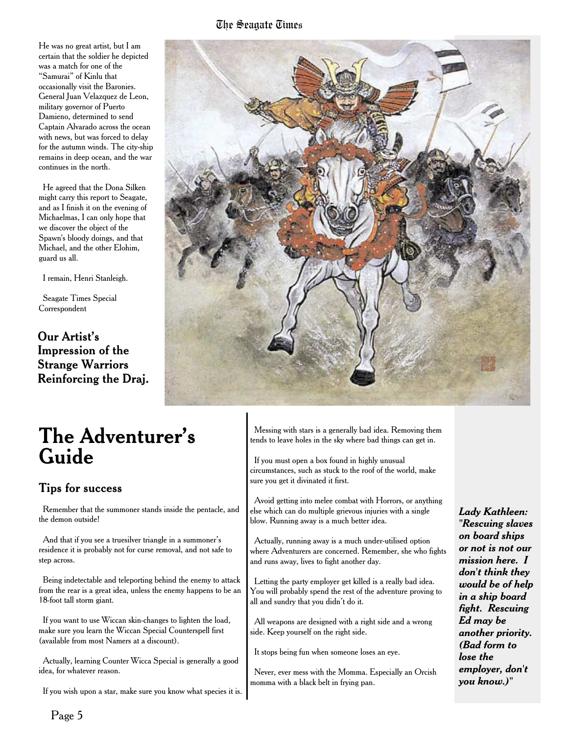He was no great artist, but I am certain that the soldier he depicted was a match for one of the "Samurai" of Kinlu that occasionally visit the Baronies. General Juan Velazquez de Leon, military governor of Puerto Damieno, determined to send Captain Alvarado across the ocean with news, but was forced to delay for the autumn winds. The city-ship remains in deep ocean, and the war continues in the north.

He agreed that the Dona Silken might carry this report to Seagate, and as I finish it on the evening of Michaelmas, I can only hope that we discover the object of the Spawn's bloody doings, and that Michael, and the other Elohim, guard us all.

I remain, Henri Stanleigh.

Seagate Times Special Correspondent

Our Artist's Impression of the Strange Warriors Reinforcing the Draj.

## **The Adventurer's Guide**

#### Tips for success

Remember that the summoner stands inside the pentacle, and the demon outside!

And that if you see a truesilver triangle in a summoner's residence it is probably not for curse removal, and not safe to step across.

Being indetectable and teleporting behind the enemy to attack from the rear is a great idea, unless the enemy happens to be an 18-foot tall storm giant.

If you want to use Wiccan skin-changes to lighten the load, make sure you learn the Wiccan Special Counterspell first (available from most Namers at a discount).

Actually, learning Counter Wicca Special is generally a good idea, for whatever reason.

If you wish upon a star, make sure you know what species it is.

Messing with stars is a generally bad idea. Removing them tends to leave holes in the sky where bad things can get in.

If you must open a box found in highly unusual circumstances, such as stuck to the roof of the world, make sure you get it divinated it first.

Avoid getting into melee combat with Horrors, or anything else which can do multiple grievous injuries with a single blow. Running away is a much better idea.

Actually, running away is a much under-utilised option where Adventurers are concerned. Remember, she who fights and runs away, lives to fight another day.

Letting the party employer get killed is a really bad idea. You will probably spend the rest of the adventure proving to all and sundry that you didn't do it.

All weapons are designed with a right side and a wrong side. Keep yourself on the right side.

It stops being fun when someone loses an eye.

Never, ever mess with the Momma. Especially an Orcish momma with a black belt in frying pan.

*Lady Kathleen: "Rescuing slaves on board ships or not is not our mission here. I don't think they would be of help in a ship board fight. Rescuing Ed may be another priority. (Bad form to lose the employer, don't you know.)"*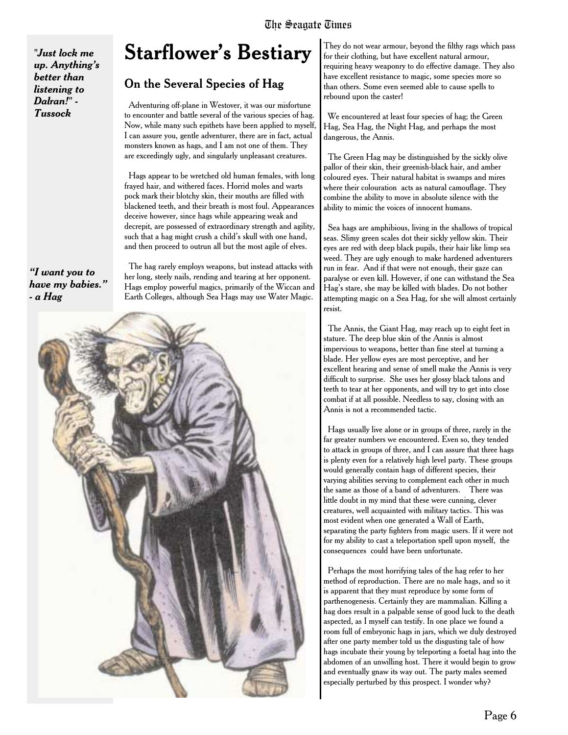*"Just lock me up. Anything's better than listening to Dalran!" - Tussock*

## **Starflower's Bestiary**

### On the Several Species of Hag

Adventuring off-plane in Westover, it was our misfortune to encounter and battle several of the various species of hag. Now, while many such epithets have been applied to myself, I can assure you, gentle adventurer, there are in fact, actual monsters known as hags, and I am not one of them. They are exceedingly ugly, and singularly unpleasant creatures.

Hags appear to be wretched old human females, with long frayed hair, and withered faces. Horrid moles and warts pock mark their blotchy skin, their mouths are filled with blackened teeth, and their breath is most foul. Appearances deceive however, since hags while appearing weak and decrepit, are possessed of extraordinary strength and agility, such that a hag might crush a child's skull with one hand, and then proceed to outrun all but the most agile of elves.

*"I want you to have my babies." - a Hag*

The hag rarely employs weapons, but instead attacks with her long, steely nails, rending and tearing at her opponent. Hags employ powerful magics, primarily of the Wiccan and Earth Colleges, although Sea Hags may use Water Magic.



They do not wear armour, beyond the filthy rags which pass for their clothing, but have excellent natural armour, requiring heavy weaponry to do effective damage. They also have excellent resistance to magic, some species more so than others. Some even seemed able to cause spells to rebound upon the caster!

We encountered at least four species of hag; the Green Hag, Sea Hag, the Night Hag, and perhaps the most dangerous, the Annis.

The Green Hag may be distinguished by the sickly olive pallor of their skin, their greenish-black hair, and amber coloured eyes. Their natural habitat is swamps and mires where their colouration acts as natural camouflage. They combine the ability to move in absolute silence with the ability to mimic the voices of innocent humans.

Sea hags are amphibious, living in the shallows of tropical seas. Slimy green scales dot their sickly yellow skin. Their eyes are red with deep black pupils, their hair like limp sea weed. They are ugly enough to make hardened adventurers run in fear. And if that were not enough, their gaze can paralyse or even kill. However, if one can withstand the Sea Hag's stare, she may be killed with blades. Do not bother attempting magic on a Sea Hag, for she will almost certainly resist.

The Annis, the Giant Hag, may reach up to eight feet in stature. The deep blue skin of the Annis is almost impervious to weapons, better than fine steel at turning a blade. Her yellow eyes are most perceptive, and her excellent hearing and sense of smell make the Annis is very difficult to surprise. She uses her glossy black talons and teeth to tear at her opponents, and will try to get into close combat if at all possible. Needless to say, closing with an Annis is not a recommended tactic.

Hags usually live alone or in groups of three, rarely in the far greater numbers we encountered. Even so, they tended to attack in groups of three, and I can assure that three hags is plenty even for a relatively high level party. These groups would generally contain hags of different species, their varying abilities serving to complement each other in much the same as those of a band of adventurers. There was little doubt in my mind that these were cunning, clever creatures, well acquainted with military tactics. This was most evident when one generated a Wall of Earth, separating the party fighters from magic users. If it were not for my ability to cast a teleportation spell upon myself, the consequences could have been unfortunate.

Perhaps the most horrifying tales of the hag refer to her method of reproduction. There are no male hags, and so it is apparent that they must reproduce by some form of parthenogenesis. Certainly they are mammalian. Killing a hag does result in a palpable sense of good luck to the death aspected, as I myself can testify. In one place we found a room full of embryonic hags in jars, which we duly destroyed after one party member told us the disgusting tale of how hags incubate their young by teleporting a foetal hag into the abdomen of an unwilling host. There it would begin to grow and eventually gnaw its way out. The party males seemed especially perturbed by this prospect. I wonder why?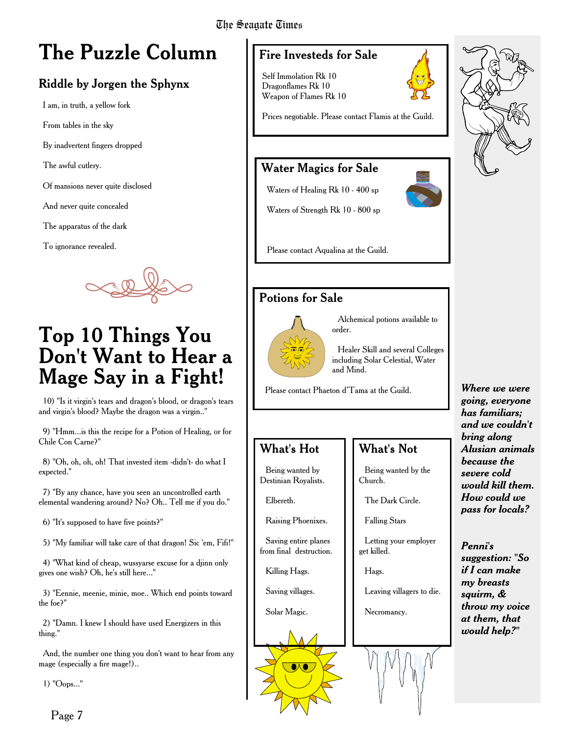## **The Puzzle Column**

#### Riddle by Jorgen the Sphynx

I am, in truth, a yellow fork

From tables in the sky

By inadvertent fingers dropped

The awful cutlery.

Of mansions never quite disclosed

And never quite concealed

The apparatus of the dark

To ignorance revealed.

## **Top 10 Things You Don't Want to Hear a Mage Say in a Fight!**

10) "Is it virgin's tears and dragon's blood, or dragon's tears and virgin's blood? Maybe the dragon was a virgin.."

9) "Hmm...is this the recipe for a Potion of Healing, or for Chile Con Carne?"

8) "Oh, oh, oh, oh! That invested item -didn't- do what I expected."

7) "By any chance, have you seen an uncontrolled earth elemental wandering around? No? Oh.. Tell me if you do."

6) "It's supposed to have five points?"

5) "My familiar will take care of that dragon! Sic 'em, Fifi!"

4) "What kind of cheap, wussyarse excuse for a djinn only gives one wish? Oh, he's still here..."

3) "Eennie, meenie, minie, moe.. Which end points toward the foe?"

2) "Damn. I knew I should have used Energizers in this thing."

And, the number one thing you don't want to hear from any mage (especially a fire mage!)..

1) "Oops..."

#### Fire Investeds for Sale

Self Immolation Rk 10 Dragonflames Rk 10 Weapon of Flames Rk 10



Prices negotiable. Please contact Flamis at the Guild.

#### Water Magics for Sale

Waters of Healing Rk 10 - 400 sp

Waters of Strength Rk 10 - 800 sp

Please contact Aqualina at the Guild.

### Potions for Sale



Alchemical potions available to order.

Healer Skill and several Colleges including Solar Celestial, Water and Mind.

Please contact Phaeton d'Tama at the Guild.

### What's Hot

Being wanted by Destinian Royalists.

Elbereth.

Raising Phoenixes.

Saving entire planes from final destruction.

Killing Hags.

Saving villages.

Solar Magic.

### What's Not

Being wanted by the Church.

The Dark Circle.

Falling Stars

Letting your employer get killed.

Hags.

Leaving villagers to die.

Necromancy.



*Where we were going, everyone has familiars; and we couldn't bring along Alusian animals because the severe cold would kill them. How could we pass for locals?*

*Penni's suggestion: "So if I can make my breasts squirm, & throw my voice at them, that would help?"*